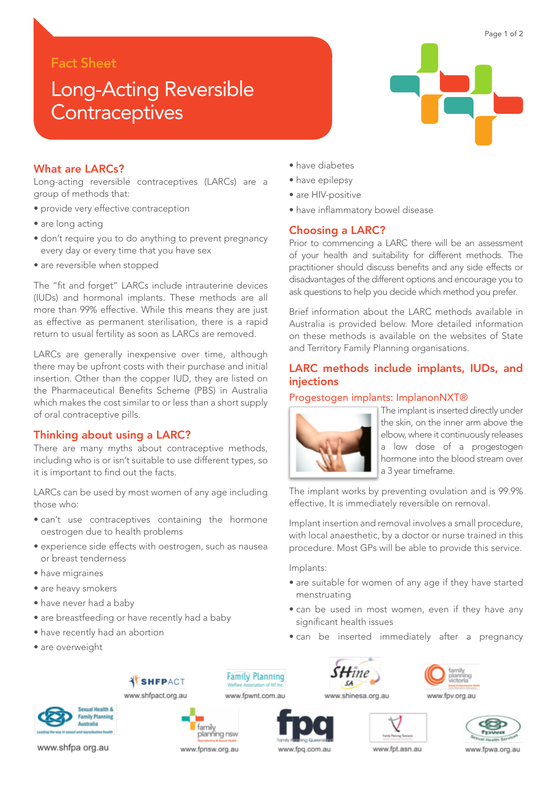# Fact Sheet

# Long-Acting Reversible **Contraceptives**



Page 1 of 2

## What are LARCs?

Long-acting reversible contraceptives (LARCs) are a group of methods that:

- provide very effective contraception
- are long acting
- don't require you to do anything to prevent pregnancy every day or every time that you have sex
- are reversible when stopped

The "fit and forget" LARCs include intrauterine devices (IUDs) and hormonal implants. These methods are all more than 99% effective. While this means they are just as effective as permanent sterilisation, there is a rapid return to usual fertility as soon as LARCs are removed.

LARCs are generally inexpensive over time, although there may be upfront costs with their purchase and initial insertion. Other than the copper IUD, they are listed on the Pharmaceutical Benefits Scheme (PBS) in Australia which makes the cost similar to or less than a short supply of oral contraceptive pills.

## Thinking about using a LARC?

There are many myths about contraceptive methods, including who is or isn't suitable to use different types, so it is important to find out the facts.

LARCs can be used by most women of any age including those who:

- can't use contraceptives containing the hormone oestrogen due to health problems
- experience side effects with oestrogen, such as nausea or breast tenderness

**SHFPACT** 

- have migraines
- are heavy smokers
- have never had a baby
- are breastfeeding or have recently had a baby
- have recently had an abortion
- are overweight



- have epilepsy
- are HIV-positive
- have inflammatory bowel disease

## Choosing a LARC?

Prior to commencing a LARC there will be an assessment of your health and suitability for different methods. The practitioner should discuss benefits and any side effects or disadvantages of the different options and encourage you to ask questions to help you decide which method you prefer.

Brief information about the LARC methods available in Australia is provided below. More detailed information on these methods is available on the websites of State and Territory Family Planning organisations.

# LARC methods include implants, IUDs, and injections

### Progestogen implants: ImplanonNXT®



The implant is inserted directly under the skin, on the inner arm above the elbow, where it continuously releases a low dose of a progestogen hormone into the blood stream over a 3 year timeframe.

The implant works by preventing ovulation and is 99.9% effective. It is immediately reversible on removal.

Implant insertion and removal involves a small procedure, with local anaesthetic, by a doctor or nurse trained in this procedure. Most GPs will be able to provide this service.

Implants:

- are suitable for women of any age if they have started menstruating
- can be used in most women, even if they have any significant health issues
- can be inserted immediately after a pregnancy





www.shfpa org.au

#### www.shfpact.org.au www.fpwnt.com.au

.<br>Farmily inning nsw

www.fpnsw.org.au



**Family Planning** 





www.fpq.com.au



www.fpt.asn.au

www.fpwa.org.au